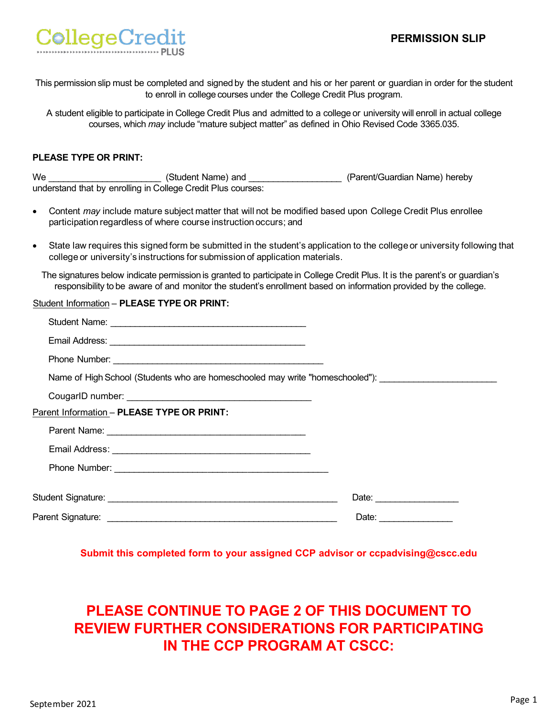### **PERMISSION SLIP**



This permission slip must be completed and signed by the student and his or her parent or guardian in order for the student to enroll in college courses under the College Credit Plus program.

A student eligible to participate in College Credit Plus and admitted to a college or university will enroll in actual college courses, which *may* include "mature subject matter" as defined in Ohio Revised Code 3365.035.

#### **PLEASE TYPE OR PRINT:**

|           | We __________________________(Student Name) and ____________________(Parent/Guardian Name) hereby<br>understand that by enrolling in College Credit Plus courses:               |                                                                                                                             |
|-----------|---------------------------------------------------------------------------------------------------------------------------------------------------------------------------------|-----------------------------------------------------------------------------------------------------------------------------|
| $\bullet$ | Content may include mature subject matter that will not be modified based upon College Credit Plus enrollee<br>participation regardless of where course instruction occurs; and |                                                                                                                             |
| $\bullet$ | college or university's instructions for submission of application materials.                                                                                                   | State law requires this signed form be submitted in the student's application to the college or university following that   |
|           | responsibility to be aware of and monitor the student's enrollment based on information provided by the college.                                                                | The signatures below indicate permission is granted to participate in College Credit Plus. It is the parent's or guardian's |
|           | Student Information - PLEASE TYPE OR PRINT:                                                                                                                                     |                                                                                                                             |
|           |                                                                                                                                                                                 |                                                                                                                             |
|           |                                                                                                                                                                                 |                                                                                                                             |
|           |                                                                                                                                                                                 |                                                                                                                             |
|           |                                                                                                                                                                                 | Name of High School (Students who are homeschooled may write "homeschooled"): ______________________                        |
|           |                                                                                                                                                                                 |                                                                                                                             |
|           | Parent Information - PLEASE TYPE OR PRINT:                                                                                                                                      |                                                                                                                             |
|           |                                                                                                                                                                                 |                                                                                                                             |
|           |                                                                                                                                                                                 |                                                                                                                             |
|           |                                                                                                                                                                                 |                                                                                                                             |
|           |                                                                                                                                                                                 | Date:                                                                                                                       |
|           |                                                                                                                                                                                 |                                                                                                                             |
|           |                                                                                                                                                                                 |                                                                                                                             |

**Submit this completed form to your assigned CCP advisor or ccpadvising@cscc.edu**

# **PLEASE CONTINUE TO PAGE 2 OF THIS DOCUMENT TO REVIEW FURTHER CONSIDERATIONS FOR PARTICIPATING IN THE CCP PROGRAM AT CSCC:**